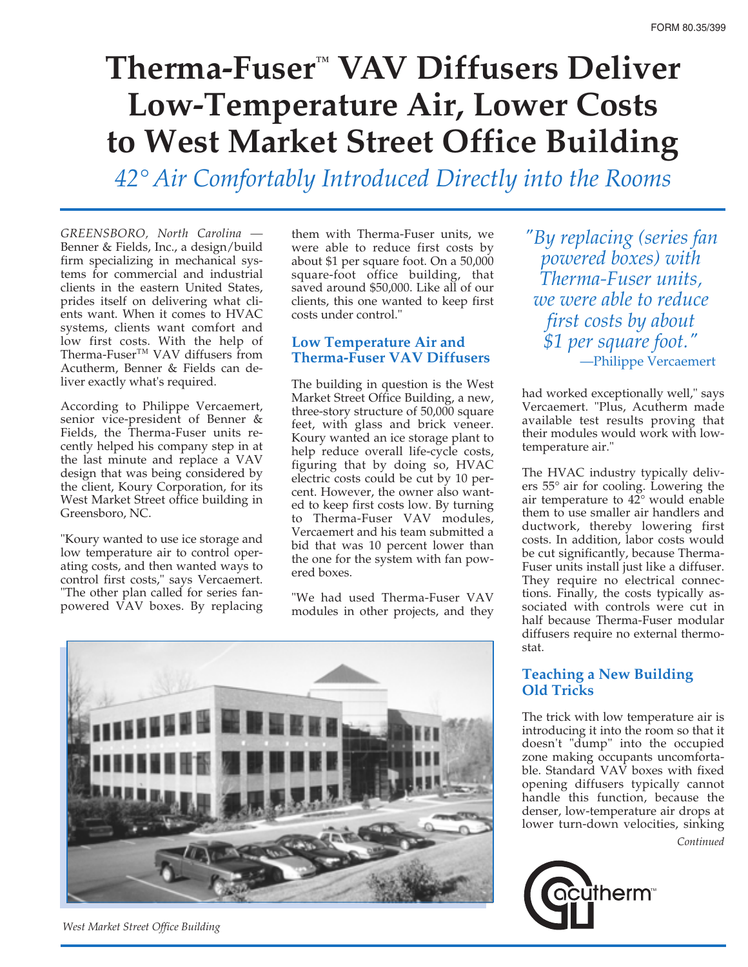# **Therma-Fuser ™ VAV Diffusers Deliver Low-Temperature Air, Lower Costs to West Market Street Office Building**

*42° Air Comfortably Introduced Directly into the Rooms*

*GREENSBORO, North Carolina —* Benner & Fields, Inc., a design/build firm specializing in mechanical systems for commercial and industrial clients in the eastern United States, prides itself on delivering what clients want. When it comes to HVAC systems, clients want comfort and low first costs. With the help of Therma-Fuser™ VAV diffusers from Acutherm, Benner & Fields can deliver exactly what's required.

According to Philippe Vercaemert, senior vice-president of Benner & Fields, the Therma-Fuser units recently helped his company step in at the last minute and replace a VAV design that was being considered by the client, Koury Corporation, for its West Market Street office building in Greensboro, NC.

"Koury wanted to use ice storage and low temperature air to control operating costs, and then wanted ways to control first costs," says Vercaemert. "The other plan called for series fanpowered VAV boxes. By replacing

them with Therma-Fuser units, we were able to reduce first costs by about \$1 per square foot. On a 50,000 square-foot office building, that saved around \$50,000. Like all of our clients, this one wanted to keep first costs under control."

#### **Low Temperature Air and Therma-Fuser VAV Diffusers**

The building in question is the West Market Street Office Building, a new, three-story structure of 50,000 square feet, with glass and brick veneer. Koury wanted an ice storage plant to help reduce overall life-cycle costs, figuring that by doing so, HVAC electric costs could be cut by 10 percent. However, the owner also wanted to keep first costs low. By turning to Therma-Fuser VAV modules, Vercaemert and his team submitted a bid that was 10 percent lower than the one for the system with fan powered boxes.

"We had used Therma-Fuser VAV modules in other projects, and they



*West Market Street Office Building*

*"By replacing (series fan powered boxes) with Therma-Fuser units, we were able to reduce first costs by about \$1 per square foot."* —Philippe Vercaemert

had worked exceptionally well," says Vercaemert. "Plus, Acutherm made available test results proving that their modules would work with lowtemperature air."

The HVAC industry typically delivers 55° air for cooling. Lowering the air temperature to 42° would enable them to use smaller air handlers and ductwork, thereby lowering first costs. In addition, labor costs would be cut significantly, because Therma-Fuser units install just like a diffuser. They require no electrical connections. Finally, the costs typically associated with controls were cut in half because Therma-Fuser modular diffusers require no external thermostat.

### **Teaching a New Building Old Tricks**

The trick with low temperature air is introducing it into the room so that it doesn't "dump" into the occupied zone making occupants uncomfortable. Standard VAV boxes with fixed opening diffusers typically cannot handle this function, because the denser, low-temperature air drops at lower turn-down velocities, sinking *Continued*